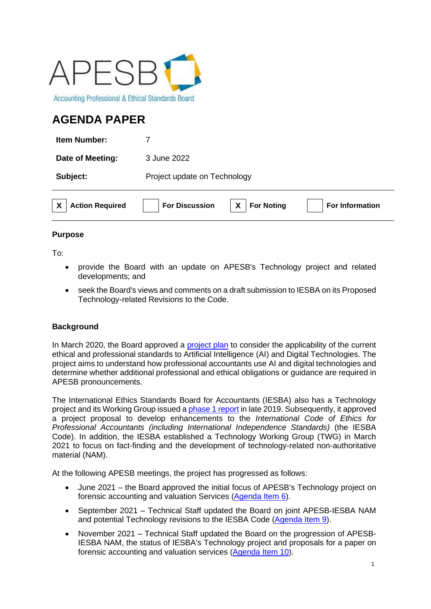

# **AGENDA PAPER**

| <b>Action Required</b> | X<br><b>For Noting</b><br><b>For Discussion</b><br><b>For Information</b> |
|------------------------|---------------------------------------------------------------------------|
| Subject:               | Project update on Technology                                              |
| Date of Meeting:       | 3 June 2022                                                               |
| <b>Item Number:</b>    |                                                                           |

## **Purpose**

To:

- provide the Board with an update on APESB's Technology project and related developments; and
- seek the Board's views and comments on a draft submission to IESBA on its Proposed Technology-related Revisions to the Code.

# **Background**

In March 2020, the Board approved a [project plan](https://apesb.org.au/wp-content/uploads/meeting/board_meeting/20200226014059_Agenda_Item_4_Agenda_Paper_Project_Proposal_on_AI.pdf) to consider the applicability of the current ethical and professional standards to Artificial Intelligence (AI) and Digital Technologies. The project aims to understand how professional accountants use AI and digital technologies and determine whether additional professional and ethical obligations or guidance are required in APESB pronouncements.

The International Ethics Standards Board for Accountants (IESBA) also has a Technology project and its Working Group issued [a phase 1 report](https://www.ifac.org/system/files/publications/files/IESBA-Technology-Initiative-Phase-1-Final-Report_0.pdf) in late 2019. Subsequently, it approved a project proposal to develop enhancements to the *International Code of Ethics for Professional Accountants (including International Independence Standards)* (the IESBA Code). In addition, the IESBA established a Technology Working Group (TWG) in March 2021 to focus on fact-finding and the development of technology-related non-authoritative material (NAM).

At the following APESB meetings, the project has progressed as follows:

- June 2021 the Board approved the initial focus of APESB's Technology project on forensic accounting and valuation Services [\(Agenda Item 6\)](https://apesb.org.au/wp-content/uploads/2021/06/Agenda_Item_6_Project_Update_on_Technology.pdf).
- September 2021 Technical Staff updated the Board on joint APESB-IESBA NAM and potential Technology revisions to the IESBA Code [\(Agenda Item 9\)](https://apesb.org.au/wp-content/uploads/2021/08/Agenda_Item_9_Project_Update_on_Technology.pdf).
- November 2021 Technical Staff updated the Board on the progression of APESB-IESBA NAM, the status of IESBA's Technology project and proposals for a paper on forensic accounting and valuation services [\(Agenda Item 10\)](https://apesb.org.au/wp-content/uploads/2021/11/Agenda_Item_10_Project_Update_on_Technology.pdf).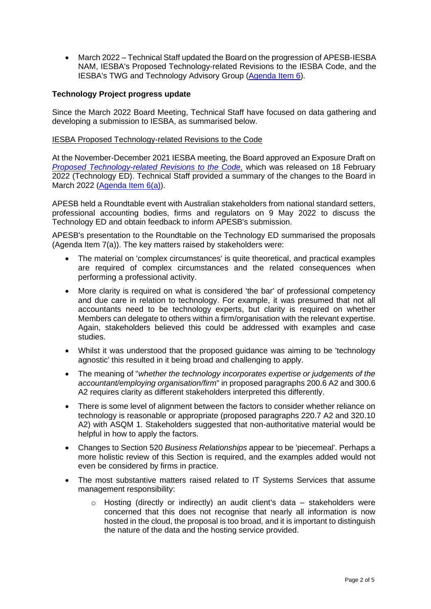• March 2022 – Technical Staff updated the Board on the progression of APESB-IESBA NAM, IESBA's Proposed Technology-related Revisions to the IESBA Code, and the IESBA's TWG and Technology Advisory Group [\(Agenda Item 6\)](https://apesb.org.au/wp-content/uploads/2022/03/Agenda_Item_6_Project_Update_on_Technology.pdf).

## **Technology Project progress update**

Since the March 2022 Board Meeting, Technical Staff have focused on data gathering and developing a submission to IESBA, as summarised below.

#### IESBA Proposed Technology-related Revisions to the Code

At the November-December 2021 IESBA meeting, the Board approved an Exposure Draft on *[Proposed Technology-related Revisions to the Code,](https://www.ethicsboard.org/publications/proposed-technology-related-revisions-code)* which was released on 18 February 2022 (Technology ED). Technical Staff provided a summary of the changes to the Board in March 2022 [\(Agenda Item 6\(a\)\)](https://apesb.org.au/wp-content/uploads/2022/03/Agenda_Item_6_a_Summary_of_Proposed_Technology_related_Revisions_to_IESBA_Code.pdf).

APESB held a Roundtable event with Australian stakeholders from national standard setters, professional accounting bodies, firms and regulators on 9 May 2022 to discuss the Technology ED and obtain feedback to inform APESB's submission.

APESB's presentation to the Roundtable on the Technology ED summarised the proposals (Agenda Item 7(a)). The key matters raised by stakeholders were:

- The material on 'complex circumstances' is quite theoretical, and practical examples are required of complex circumstances and the related consequences when performing a professional activity.
- More clarity is required on what is considered 'the bar' of professional competency and due care in relation to technology. For example, it was presumed that not all accountants need to be technology experts, but clarity is required on whether Members can delegate to others within a firm/organisation with the relevant expertise. Again, stakeholders believed this could be addressed with examples and case studies.
- Whilst it was understood that the proposed guidance was aiming to be 'technology agnostic' this resulted in it being broad and challenging to apply.
- The meaning of "*whether the technology incorporates expertise or judgements of the accountant/employing organisation/firm*" in proposed paragraphs 200.6 A2 and 300.6 A2 requires clarity as different stakeholders interpreted this differently.
- There is some level of alignment between the factors to consider whether reliance on technology is reasonable or appropriate (proposed paragraphs 220.7 A2 and 320.10 A2) with ASQM 1. Stakeholders suggested that non-authoritative material would be helpful in how to apply the factors.
- Changes to Section 520 *Business Relationships* appear to be 'piecemeal'. Perhaps a more holistic review of this Section is required, and the examples added would not even be considered by firms in practice.
- The most substantive matters raised related to IT Systems Services that assume management responsibility:
	- o Hosting (directly or indirectly) an audit client's data stakeholders were concerned that this does not recognise that nearly all information is now hosted in the cloud, the proposal is too broad, and it is important to distinguish the nature of the data and the hosting service provided.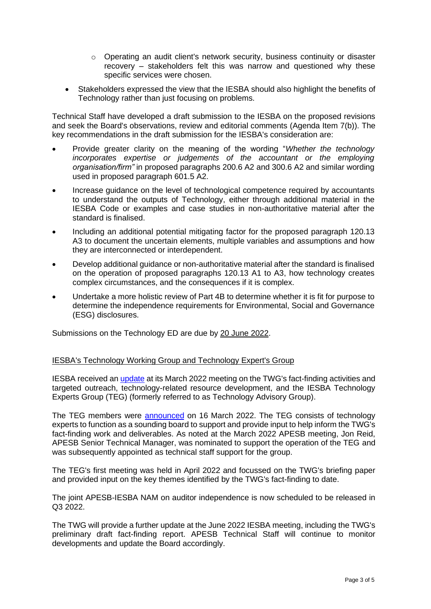- $\circ$  Operating an audit client's network security, business continuity or disaster recovery – stakeholders felt this was narrow and questioned why these specific services were chosen.
- Stakeholders expressed the view that the IESBA should also highlight the benefits of Technology rather than just focusing on problems.

Technical Staff have developed a draft submission to the IESBA on the proposed revisions and seek the Board's observations, review and editorial comments (Agenda Item 7(b)). The key recommendations in the draft submission for the IESBA's consideration are:

- Provide greater clarity on the meaning of the wording "*Whether the technology incorporates expertise or judgements of the accountant or the employing organisation/firm"* in proposed paragraphs 200.6 A2 and 300.6 A2 and similar wording used in proposed paragraph 601.5 A2.
- Increase guidance on the level of technological competence required by accountants to understand the outputs of Technology, either through additional material in the IESBA Code or examples and case studies in non-authoritative material after the standard is finalised.
- Including an additional potential mitigating factor for the proposed paragraph 120.13 A3 to document the uncertain elements, multiple variables and assumptions and how they are interconnected or interdependent.
- Develop additional guidance or non-authoritative material after the standard is finalised on the operation of proposed paragraphs 120.13 A1 to A3, how technology creates complex circumstances, and the consequences if it is complex.
- Undertake a more holistic review of Part 4B to determine whether it is fit for purpose to determine the independence requirements for Environmental, Social and Governance (ESG) disclosures.

Submissions on the Technology ED are due by 20 June 2022.

#### IESBA's Technology Working Group and Technology Expert's Group

IESBA received an [update](https://www.ifac.org/system/files/meetings/files/Agenda-Item-3-Technology-Fact-Finding-and-Thought-Leadership-Update.pdf) at its March 2022 meeting on the TWG's fact-finding activities and targeted outreach, technology-related resource development, and the IESBA Technology Experts Group (TEG) (formerly referred to as Technology Advisory Group).

The TEG members were [announced](https://www.ethicsboard.org/news-events/2022-03/iesba-technology-experts-group-members-appointed-0) on 16 March 2022. The TEG consists of technology experts to function as a sounding board to support and provide input to help inform the TWG's fact-finding work and deliverables. As noted at the March 2022 APESB meeting, Jon Reid, APESB Senior Technical Manager, was nominated to support the operation of the TEG and was subsequently appointed as technical staff support for the group.

The TEG's first meeting was held in April 2022 and focussed on the TWG's briefing paper and provided input on the key themes identified by the TWG's fact-finding to date.

The joint APESB-IESBA NAM on auditor independence is now scheduled to be released in Q3 2022.

The TWG will provide a further update at the June 2022 IESBA meeting, including the TWG's preliminary draft fact-finding report. APESB Technical Staff will continue to monitor developments and update the Board accordingly.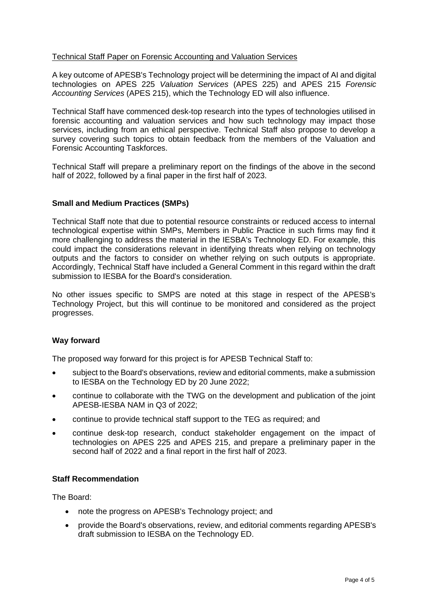## Technical Staff Paper on Forensic Accounting and Valuation Services

A key outcome of APESB's Technology project will be determining the impact of AI and digital technologies on APES 225 *Valuation Services* (APES 225) and APES 215 *Forensic Accounting Services* (APES 215), which the Technology ED will also influence.

Technical Staff have commenced desk-top research into the types of technologies utilised in forensic accounting and valuation services and how such technology may impact those services, including from an ethical perspective. Technical Staff also propose to develop a survey covering such topics to obtain feedback from the members of the Valuation and Forensic Accounting Taskforces.

Technical Staff will prepare a preliminary report on the findings of the above in the second half of 2022, followed by a final paper in the first half of 2023.

#### **Small and Medium Practices (SMPs)**

Technical Staff note that due to potential resource constraints or reduced access to internal technological expertise within SMPs, Members in Public Practice in such firms may find it more challenging to address the material in the IESBA's Technology ED. For example, this could impact the considerations relevant in identifying threats when relying on technology outputs and the factors to consider on whether relying on such outputs is appropriate. Accordingly, Technical Staff have included a General Comment in this regard within the draft submission to IESBA for the Board's consideration.

No other issues specific to SMPS are noted at this stage in respect of the APESB's Technology Project, but this will continue to be monitored and considered as the project progresses.

#### **Way forward**

The proposed way forward for this project is for APESB Technical Staff to:

- subject to the Board's observations, review and editorial comments, make a submission to IESBA on the Technology ED by 20 June 2022;
- continue to collaborate with the TWG on the development and publication of the joint APESB-IESBA NAM in Q3 of 2022;
- continue to provide technical staff support to the TEG as required; and
- continue desk-top research, conduct stakeholder engagement on the impact of technologies on APES 225 and APES 215, and prepare a preliminary paper in the second half of 2022 and a final report in the first half of 2023.

## **Staff Recommendation**

The Board:

- note the progress on APESB's Technology project; and
- provide the Board's observations, review, and editorial comments regarding APESB's draft submission to IESBA on the Technology ED.